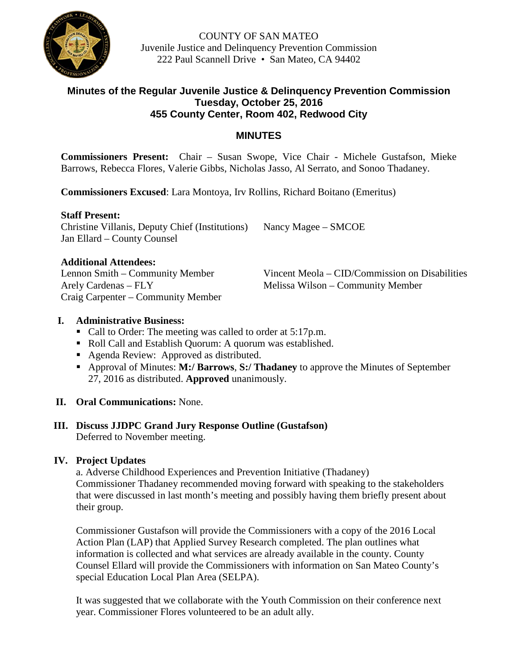

COUNTY OF SAN MATEO Juvenile Justice and Delinquency Prevention Commission 222 Paul Scannell Drive • San Mateo, CA 94402

#### **Minutes of the Regular Juvenile Justice & Delinquency Prevention Commission Tuesday, October 25, 2016 455 County Center, Room 402, Redwood City**

## **MINUTES**

**Commissioners Present:** Chair – Susan Swope, Vice Chair - Michele Gustafson, Mieke Barrows, Rebecca Flores, Valerie Gibbs, Nicholas Jasso, Al Serrato, and Sonoo Thadaney.

**Commissioners Excused**: Lara Montoya, Irv Rollins, Richard Boitano (Emeritus)

#### **Staff Present:**

Christine Villanis, Deputy Chief (Institutions) Nancy Magee – SMCOE Jan Ellard – County Counsel

#### **Additional Attendees:**

Arely Cardenas – FLY Melissa Wilson – Community Member Craig Carpenter – Community Member

Lennon Smith – Community Member Vincent Meola – CID/Commission on Disabilities

#### **I. Administrative Business:**

- Call to Order: The meeting was called to order at 5:17p.m.
- Roll Call and Establish Quorum: A quorum was established.
- Agenda Review: Approved as distributed.
- Approval of Minutes: **M:/ Barrows**, **S:/ Thadaney** to approve the Minutes of September 27, 2016 as distributed. **Approved** unanimously.

## **II. Oral Communications:** None.

#### **III. Discuss JJDPC Grand Jury Response Outline (Gustafson)** Deferred to November meeting.

## **IV. Project Updates**

a. Adverse Childhood Experiences and Prevention Initiative (Thadaney) Commissioner Thadaney recommended moving forward with speaking to the stakeholders that were discussed in last month's meeting and possibly having them briefly present about their group.

Commissioner Gustafson will provide the Commissioners with a copy of the 2016 Local Action Plan (LAP) that Applied Survey Research completed. The plan outlines what information is collected and what services are already available in the county. County Counsel Ellard will provide the Commissioners with information on San Mateo County's special Education Local Plan Area (SELPA).

It was suggested that we collaborate with the Youth Commission on their conference next year. Commissioner Flores volunteered to be an adult ally.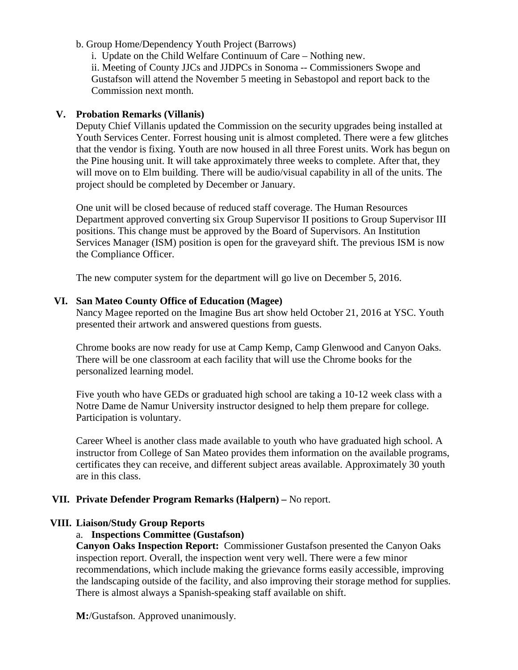- b. Group Home/Dependency Youth Project (Barrows)
	- i. Update on the Child Welfare Continuum of Care Nothing new.

ii. Meeting of County JJCs and JJDPCs in Sonoma -- Commissioners Swope and Gustafson will attend the November 5 meeting in Sebastopol and report back to the Commission next month.

#### **V. Probation Remarks (Villanis)**

Deputy Chief Villanis updated the Commission on the security upgrades being installed at Youth Services Center. Forrest housing unit is almost completed. There were a few glitches that the vendor is fixing. Youth are now housed in all three Forest units. Work has begun on the Pine housing unit. It will take approximately three weeks to complete. After that, they will move on to Elm building. There will be audio/visual capability in all of the units. The project should be completed by December or January.

One unit will be closed because of reduced staff coverage. The Human Resources Department approved converting six Group Supervisor II positions to Group Supervisor III positions. This change must be approved by the Board of Supervisors. An Institution Services Manager (ISM) position is open for the graveyard shift. The previous ISM is now the Compliance Officer.

The new computer system for the department will go live on December 5, 2016.

#### **VI. San Mateo County Office of Education (Magee)**

Nancy Magee reported on the Imagine Bus art show held October 21, 2016 at YSC. Youth presented their artwork and answered questions from guests.

Chrome books are now ready for use at Camp Kemp, Camp Glenwood and Canyon Oaks. There will be one classroom at each facility that will use the Chrome books for the personalized learning model.

Five youth who have GEDs or graduated high school are taking a 10-12 week class with a Notre Dame de Namur University instructor designed to help them prepare for college. Participation is voluntary.

Career Wheel is another class made available to youth who have graduated high school. A instructor from College of San Mateo provides them information on the available programs, certificates they can receive, and different subject areas available. Approximately 30 youth are in this class.

## **VII. Private Defender Program Remarks (Halpern) –** No report.

## **VIII. Liaison/Study Group Reports**

## a. **Inspections Committee (Gustafson)**

**Canyon Oaks Inspection Report:** Commissioner Gustafson presented the Canyon Oaks inspection report. Overall, the inspection went very well. There were a few minor recommendations, which include making the grievance forms easily accessible, improving the landscaping outside of the facility, and also improving their storage method for supplies. There is almost always a Spanish-speaking staff available on shift.

**M:**/Gustafson. Approved unanimously.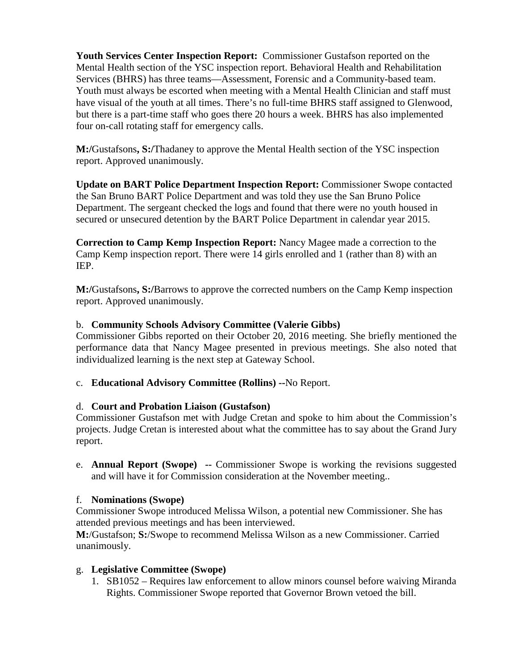**Youth Services Center Inspection Report:** Commissioner Gustafson reported on the Mental Health section of the YSC inspection report. Behavioral Health and Rehabilitation Services (BHRS) has three teams—Assessment, Forensic and a Community-based team. Youth must always be escorted when meeting with a Mental Health Clinician and staff must have visual of the youth at all times. There's no full-time BHRS staff assigned to Glenwood, but there is a part-time staff who goes there 20 hours a week. BHRS has also implemented four on-call rotating staff for emergency calls.

**M:/**Gustafsons**, S:/**Thadaney to approve the Mental Health section of the YSC inspection report. Approved unanimously.

**Update on BART Police Department Inspection Report:** Commissioner Swope contacted the San Bruno BART Police Department and was told they use the San Bruno Police Department. The sergeant checked the logs and found that there were no youth housed in secured or unsecured detention by the BART Police Department in calendar year 2015.

**Correction to Camp Kemp Inspection Report:** Nancy Magee made a correction to the Camp Kemp inspection report. There were 14 girls enrolled and 1 (rather than 8) with an IEP.

**M:/**Gustafsons**, S:/**Barrows to approve the corrected numbers on the Camp Kemp inspection report. Approved unanimously.

## b. **Community Schools Advisory Committee (Valerie Gibbs)**

Commissioner Gibbs reported on their October 20, 2016 meeting. She briefly mentioned the performance data that Nancy Magee presented in previous meetings. She also noted that individualized learning is the next step at Gateway School.

## c. **Educational Advisory Committee (Rollins) --**No Report.

## d. **Court and Probation Liaison (Gustafson)**

Commissioner Gustafson met with Judge Cretan and spoke to him about the Commission's projects. Judge Cretan is interested about what the committee has to say about the Grand Jury report.

e. **Annual Report (Swope) --** Commissioner Swope is working the revisions suggested and will have it for Commission consideration at the November meeting..

## f. **Nominations (Swope)**

Commissioner Swope introduced Melissa Wilson, a potential new Commissioner. She has attended previous meetings and has been interviewed.

**M:**/Gustafson; **S:**/Swope to recommend Melissa Wilson as a new Commissioner. Carried unanimously.

## g. **Legislative Committee (Swope)**

1. SB1052 – Requires law enforcement to allow minors counsel before waiving Miranda Rights. Commissioner Swope reported that Governor Brown vetoed the bill.